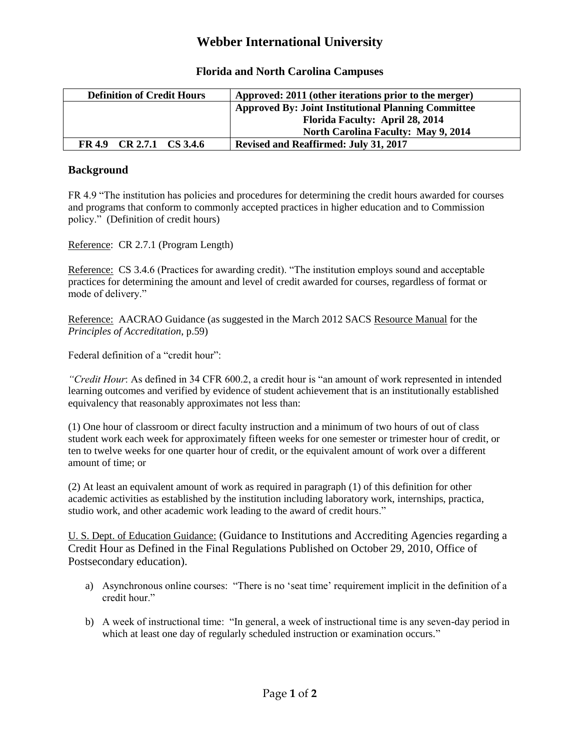## **Webber International University**

| <b>Definition of Credit Hours</b> | Approved: 2011 (other iterations prior to the merger)      |
|-----------------------------------|------------------------------------------------------------|
|                                   | <b>Approved By: Joint Institutional Planning Committee</b> |
|                                   | Florida Faculty: April 28, 2014                            |
|                                   | <b>North Carolina Faculty: May 9, 2014</b>                 |
| FR 4.9 CR 2.7.1 CS 3.4.6          | <b>Revised and Reaffirmed: July 31, 2017</b>               |

## **Florida and North Carolina Campuses**

## **Background**

FR 4.9 "The institution has policies and procedures for determining the credit hours awarded for courses and programs that conform to commonly accepted practices in higher education and to Commission policy." (Definition of credit hours)

Reference: CR 2.7.1 (Program Length)

Reference: CS 3.4.6 (Practices for awarding credit). "The institution employs sound and acceptable practices for determining the amount and level of credit awarded for courses, regardless of format or mode of delivery."

Reference: AACRAO Guidance (as suggested in the March 2012 SACS Resource Manual for the *Principles of Accreditation*, p.59)

Federal definition of a "credit hour":

*"Credit Hour*: As defined in 34 CFR 600.2, a credit hour is "an amount of work represented in intended learning outcomes and verified by evidence of student achievement that is an institutionally established equivalency that reasonably approximates not less than:

(1) One hour of classroom or direct faculty instruction and a minimum of two hours of out of class student work each week for approximately fifteen weeks for one semester or trimester hour of credit, or ten to twelve weeks for one quarter hour of credit, or the equivalent amount of work over a different amount of time; or

(2) At least an equivalent amount of work as required in paragraph (1) of this definition for other academic activities as established by the institution including laboratory work, internships, practica, studio work, and other academic work leading to the award of credit hours."

U. S. Dept. of Education Guidance: (Guidance to Institutions and Accrediting Agencies regarding a Credit Hour as Defined in the Final Regulations Published on October 29, 2010, Office of Postsecondary education).

- a) Asynchronous online courses: "There is no 'seat time' requirement implicit in the definition of a credit hour."
- b) A week of instructional time: "In general, a week of instructional time is any seven-day period in which at least one day of regularly scheduled instruction or examination occurs."